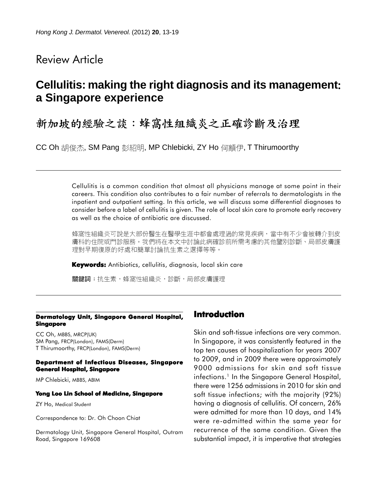# Review Article

# **Cellulitis: making the right diagnosis and its management**: **a Singapore experience**

# 新加坡的經驗之談:蜂窩性組織炎之正確診斷及治理

CC Oh 胡俊杰, SM Pang 彭紹明, MP Chlebicki, ZY Ho 何顓伊, T Thirumoorthy

Cellulitis is a common condition that almost all physicians manage at some point in their careers. This condition also contributes to a fair number of referrals to dermatologists in the inpatient and outpatient setting. In this article, we will discuss some differential diagnoses to consider before a label of cellulitis is given. The role of local skin care to promote early recovery as well as the choice of antibiotic are discussed.

蜂窩性組織炎可說是大部份醫生在醫學生涯中都會處理過的常見疾病,當中有不少會被轉介到皮 膚科的住院或門診服務。我們將在本文中討論此病確診前所需考慮的其他鑒別診斷、局部皮膚護 理對早期復原的好處和簡單討論抗生素之選擇等等。

**Keywords:** Antibiotics, cellulitis, diagnosis, local skin care

關鍵詞:抗生素,蜂窩性組織炎,診斷,局部皮膚護理

#### **Dermatology Unit, Singapore General Hospital, Singapore**

CC Oh, MBBS, MRCP(UK) SM Pang, FRCP(London), FAMS(Derm) T Thirumoorthy, FRCP(London), FAMS(Derm)

#### **Department of Infectious Diseases, Singapore General Hospital, Singapore**

MP Chlebicki, MBBS, ABIM

#### **Yong Loo Lin School of Medicine, Singapore**

ZY Ho, Medical Student

Correspondence to: Dr. Oh Choon Chiat

Dermatology Unit, Singapore General Hospital, Outram Road, Singapore 169608

#### **Introduction**

Skin and soft-tissue infections are very common. In Singapore, it was consistently featured in the top ten causes of hospitalization for years 2007 to 2009, and in 2009 there were approximately 9000 admissions for skin and soft tissue infections.<sup>1</sup> In the Singapore General Hospital, there were 1256 admissions in 2010 for skin and soft tissue infections; with the majority (92%) having a diagnosis of cellulitis. Of concern, 26% were admitted for more than 10 days, and 14% were re-admitted within the same year for recurrence of the same condition. Given the substantial impact, it is imperative that strategies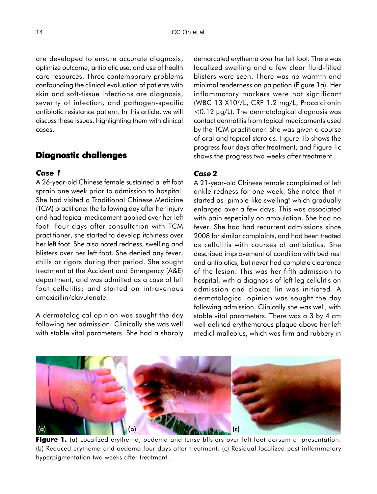are developed to ensure accurate diagnosis, optimize outcome, antibiotic use, and use of health care resources. Three contemporary problems confounding the clinical evaluation of patients with skin and soft-tissue infections are diagnosis, severity of infection, and pathogen-specific antibiotic resistance pattern. In this article, we will discuss these issues, highlighting them with clinical cases.

# **Diagnostic challenges**

### *Case 1*

A 26-year-old Chinese female sustained a left foot sprain one week prior to admission to hospital. She had visited a Traditional Chinese Medicine (TCM) practitioner the following day after her injury and had topical medicament applied over her left foot. Four days after consultation with TCM practitioner, she started to develop itchiness over her left foot. She also noted redness, swelling and blisters over her left foot. She denied any fever, chills or rigors during that period. She sought treatment at the Accident and Emergency (A&E) department, and was admitted as a case of left foot cellulitis; and started on intravenous amoxicillin/clavulanate.

A dermatological opinion was sought the day following her admission. Clinically she was well with stable vital parameters. She had a sharply demarcated erythema over her left foot. There was localized swelling and a few clear fluid-filled blisters were seen. There was no warmth and minimal tenderness on palpation (Figure 1a). Her inflammatory markers were not significant (WBC 13 X109/L, CRP 1.2 mg/L, Procalcitonin <0.12 µg/L). The dermatological diagnosis was contact dermatitis from topical medicaments used by the TCM practitioner. She was given a course of oral and topical steroids. Figure 1b shows the progress four days after treatment, and Figure 1c shows the progress two weeks after treatment.

## *Case 2*

A 21-year-old Chinese female complained of left ankle redness for one week. She noted that it started as "pimple-like swelling" which gradually enlarged over a few days. This was associated with pain especially on ambulation. She had no fever. She had had recurrent admissions since 2008 for similar complaints, and had been treated as cellulitis with courses of antibiotics. She described improvement of condition with bed rest and antibiotics, but never had complete clearance of the lesion. This was her fifth admission to hospital, with a diagnosis of left leg cellulitis on admission and cloxacillin was initiated. A dermatological opinion was sought the day following admission. Clinically she was well, with stable vital parameters. There was a 3 by 4 cm well defined erythematous plaque above her left medial malleolus, which was firm and rubbery in



Figure 1. (a) Localized erythema, oedema and tense blisters over left foot dorsum at presentation. (b) Reduced erythema and oedema four days after treatment. (c) Residual localized post inflammatory hyperpigmentation two weeks after treatment.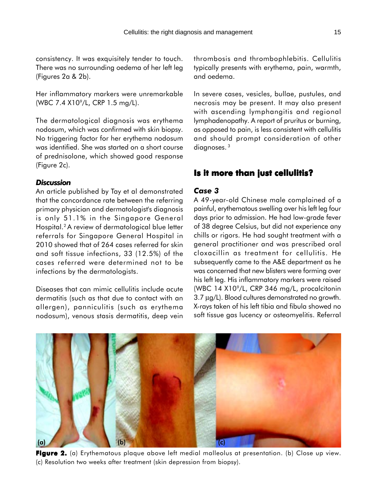consistency. It was exquisitely tender to touch. There was no surrounding oedema of her left leg (Figures 2a & 2b).

Her inflammatory markers were unremarkable (WBC 7.4 X109 /L, CRP 1.5 mg/L).

The dermatological diagnosis was erythema nodosum, which was confirmed with skin biopsy. No triggering factor for her erythema nodosum was identified. She was started on a short course of prednisolone, which showed good response (Figure 2c).

#### *Discussion*

An article published by Tay et al demonstrated that the concordance rate between the referring primary physician and dermatologist's diagnosis is only 51.1% in the Singapore General Hospital.2 A review of dermatological blue letter referrals for Singapore General Hospital in 2010 showed that of 264 cases referred for skin and soft tissue infections, 33 (12.5%) of the cases referred were determined not to be infections by the dermatologists.

Diseases that can mimic cellulitis include acute dermatitis (such as that due to contact with an allergen), panniculitis (such as erythema nodosum), venous stasis dermatitis, deep vein thrombosis and thrombophlebitis. Cellulitis typically presents with erythema, pain, warmth, and oedema.

In severe cases, vesicles, bullae, pustules, and necrosis may be present. It may also present with ascending lymphangitis and regional lymphadenopathy. A report of pruritus or burning, as opposed to pain, is less consistent with cellulitis and should prompt consideration of other diagnoses. 3

### **Is it more than just cellulitis?**

## *Case 3*

A 49-year-old Chinese male complained of a painful, erythematous swelling over his left leg four days prior to admission. He had low-grade fever of 38 degree Celsius, but did not experience any chills or rigors. He had sought treatment with a general practitioner and was prescribed oral cloxacillin as treatment for cellulitis. He subsequently came to the A&E department as he was concerned that new blisters were forming over his left leg. His inflammatory markers were raised (WBC 14 X10<sup>9</sup>/L, CRP 346 mg/L, procalcitonin 3.7 µg/L). Blood cultures demonstrated no growth. X-rays taken of his left tibia and fibula showed no soft tissue gas lucency or osteomyelitis. Referral



Figure 2. (a) Erythematous plaque above left medial malleolus at presentation. (b) Close up view. (c) Resolution two weeks after treatment (skin depression from biopsy).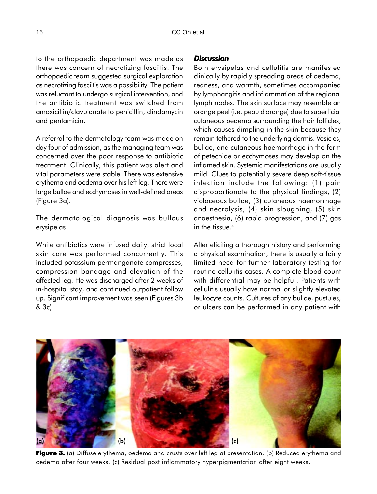to the orthopaedic department was made as there was concern of necrotizing fasciitis. The orthopaedic team suggested surgical exploration as necrotizing fasciitis was a possibility. The patient was reluctant to undergo surgical intervention, and the antibiotic treatment was switched from amoxicillin/clavulanate to penicillin, clindamycin and gentamicin.

A referral to the dermatology team was made on day four of admission, as the managing team was concerned over the poor response to antibiotic treatment. Clinically, this patient was alert and vital parameters were stable. There was extensive erythema and oedema over his left leg. There were large bullae and ecchymoses in well-defined areas (Figure 3a).

The dermatological diagnosis was bullous erysipelas.

While antibiotics were infused daily, strict local skin care was performed concurrently. This included potassium permanganate compresses, compression bandage and elevation of the affected leg. He was discharged after 2 weeks of in-hospital stay, and continued outpatient follow up. Significant improvement was seen (Figures 3b & 3c).

#### *Discussion*

Both erysipelas and cellulitis are manifested clinically by rapidly spreading areas of oedema, redness, and warmth, sometimes accompanied by lymphangitis and inflammation of the regional lymph nodes. The skin surface may resemble an orange peel (i.e. peau d'orange) due to superficial cutaneous oedema surrounding the hair follicles, which causes dimpling in the skin because they remain tethered to the underlying dermis. Vesicles, bullae, and cutaneous haemorrhage in the form of petechiae or ecchymoses may develop on the inflamed skin. Systemic manifestations are usually mild. Clues to potentially severe deep soft-tissue infection include the following: (1) pain disproportionate to the physical findings, (2) violaceous bullae, (3) cutaneous haemorrhage and necrolysis, (4) skin sloughing, (5) skin anaesthesia, (6) rapid progression, and (7) gas in the tissue.<sup>4</sup>

After eliciting a thorough history and performing a physical examination, there is usually a fairly limited need for further laboratory testing for routine cellulitis cases. A complete blood count with differential may be helpful. Patients with cellulitis usually have normal or slightly elevated leukocyte counts. Cultures of any bullae, pustules, or ulcers can be performed in any patient with



Figure 3. (a) Diffuse erythema, oedema and crusts over left leg at presentation. (b) Reduced erythema and oedema after four weeks. (c) Residual post inflammatory hyperpigmentation after eight weeks.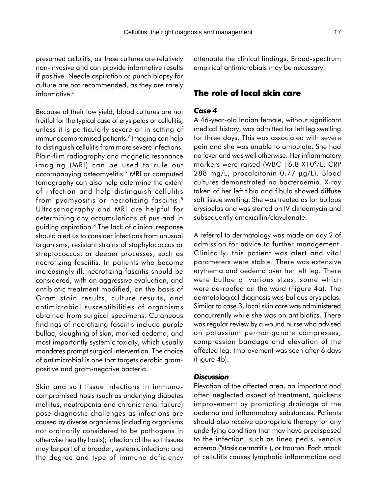presumed cellulitis, as these cultures are relatively non-invasive and can provide informative results if positive. Needle aspiration or punch biopsy for culture are not recommended, as they are rarely informative.<sup>5</sup>

Because of their low yield, blood cultures are not fruitful for the typical case of erysipelas or cellulitis, unless it is particularly severe or in setting of immunocompromised patients.<sup>6</sup> Imaging can help to distinguish cellulitis from more severe infections. Plain-film radiography and magnetic resonance imaging (MRI) can be used to rule out accompanying osteomyelitis.7 MRI or computed tomography can also help determine the extent of infection and help distinguish cellulitis from pyomyositis or necrotizing fasciitis.8 Ultrasonography and MRI are helpful for determining any accumulations of pus and in guiding aspiration.<sup>8</sup> The lack of clinical response should alert us to consider infections from unusual organisms, resistant strains of staphylococcus or streptococcus, or deeper processes, such as necrotizing fasciitis. In patients who become increasingly ill, necrotizing fasciitis should be considered, with an aggressive evaluation, and antibiotic treatment modified, on the basis of Gram stain results, culture results, and antimicrobial susceptibilities of organisms obtained from surgical specimens. Cutaneous findings of necrotizing fasciitis include purple bullae, sloughing of skin, marked oedema, and most importantly systemic toxicity, which usually mandates prompt surgical intervention. The choice of antimicrobial is one that targets aerobic grampositive and gram-negative bacteria.

Skin and soft tissue infections in immunocompromised hosts (such as underlying diabetes mellitus, neutropenia and chronic renal failure) pose diagnostic challenges as infections are caused by diverse organisms (including organisms not ordinarily considered to be pathogens in otherwise healthy hosts); infection of the soft tissues may be part of a broader, systemic infection; and the degree and type of immune deficiency attenuate the clinical findings. Broad-spectrum empirical antimicrobials may be necessary.

## **The role of local skin care**

#### *Case 4*

A 46-year-old Indian female, without significant medical history, was admitted for left leg swelling for three days. This was associated with severe pain and she was unable to ambulate. She had no fever and was well otherwise. Her inflammatory markers were raised (WBC 16.8 X10<sup>9</sup>/L, CRP 288 mg/L, procalcitonin 0.77 µg/L). Blood cultures demonstrated no bacteraemia. X-ray taken of her left tibia and fibula showed diffuse soft tissue swelling. She was treated as for bullous erysipelas and was started on IV clindamycin and subsequently amoxicillin/clavulanate.

A referral to dermatology was made on day 2 of admission for advice to further management. Clinically, this patient was alert and vital parameters were stable. There was extensive erythema and oedema over her left leg. There were bullae of various sizes, some which were de-roofed on the ward (Figure 4a). The dermatological diagnosis was bullous erysipelas. Similar to case 3, local skin care was administered concurrently while she was on antibiotics. There was regular review by a wound nurse who advised on potassium permanganate compresses, compression bandage and elevation of the affected leg. Improvement was seen after 6 days (Figure 4b).

#### *Discussion*

Elevation of the affected area, an important and often neglected aspect of treatment, quickens improvement by promoting drainage of the oedema and inflammatory substances. Patients should also receive appropriate therapy for any underlying condition that may have predisposed to the infection, such as tinea pedis, venous eczema ("stasis dermatitis"), or trauma. Each attack of cellulitis causes lymphatic inflammation and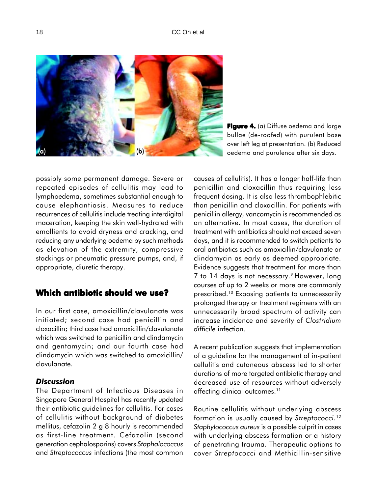

**Figure 4.** (a) Diffuse oedema and large bullae (de-roofed) with purulent base over left leg at presentation. (b) Reduced oedema and purulence after six days.

possibly some permanent damage. Severe or repeated episodes of cellulitis may lead to lymphoedema, sometimes substantial enough to cause elephantiasis. Measures to reduce recurrences of cellulitis include treating interdigital maceration, keeping the skin well-hydrated with emollients to avoid dryness and cracking, and reducing any underlying oedema by such methods as elevation of the extremity, compressive stockings or pneumatic pressure pumps, and, if appropriate, diuretic therapy.

# **Which antibiotic should we use?**

In our first case, amoxicillin/clavulanate was initiated; second case had penicillin and cloxacillin; third case had amoxicillin/clavulanate which was switched to penicillin and clindamycin and gentamycin; and our fourth case had clindamycin which was switched to amoxicillin/ clavulanate.

### *Discussion*

The Department of Infectious Diseases in Singapore General Hospital has recently updated their antibiotic guidelines for cellulitis. For cases of cellulitis without background of diabetes mellitus, cefazolin 2 g 8 hourly is recommended as first-line treatment. Cefazolin (second generation cephalosporins) covers *Staphalococcus* and *Streptococcus* infections (the most common causes of cellulitis). It has a longer half-life than penicillin and cloxacillin thus requiring less frequent dosing. It is also less thrombophlebitic than penicillin and cloxacillin. For patients with penicillin allergy, vancomycin is recommended as an alternative. In most cases, the duration of treatment with antibiotics should not exceed seven days, and it is recommended to switch patients to oral antibiotics such as amoxicillin/clavulanate or clindamycin as early as deemed appropriate. Evidence suggests that treatment for more than 7 to 14 days is not necessary.9 However, long courses of up to 2 weeks or more are commonly prescribed.10 Exposing patients to unnecessarily prolonged therapy or treatment regimens with an unnecessarily broad spectrum of activity can increase incidence and severity of *Clostridium difficile* infection.

A recent publication suggests that implementation of a guideline for the management of in-patient cellulitis and cutaneous abscess led to shorter durations of more targeted antibiotic therapy and decreased use of resources without adversely affecting clinical outcomes.<sup>11</sup>

Routine cellulitis without underlying abscess formation is usually caused by *Streptococci.*<sup>12</sup> *Staphylococcus aureus* is a possible culprit in cases with underlying abscess formation or a history of penetrating trauma. Therapeutic options to cover *Streptococci* and Methicillin-sensitive